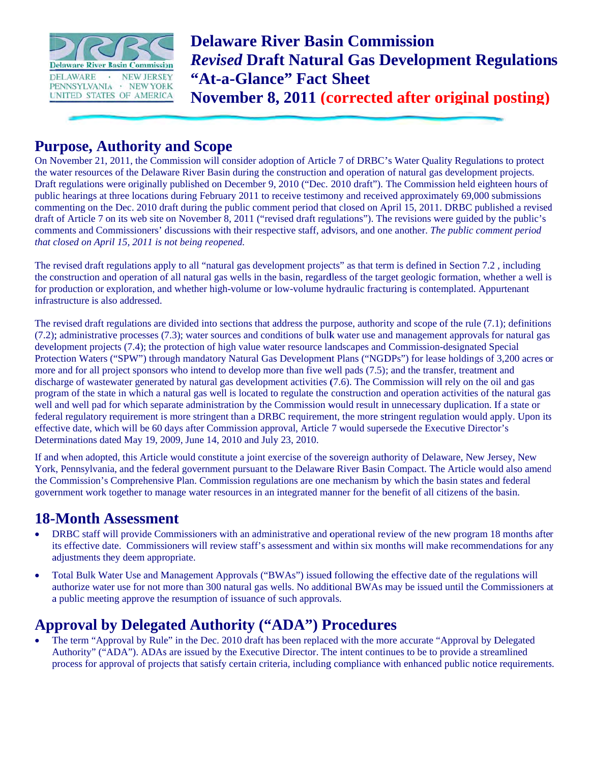

**Delaware River Basin Commission Revised Draft Natural Gas Development Regulations** "At-a-Glance" Fact Sheet

November 8, 2011 (corrected after original posting)

#### **Purpose, Authority and Scope**

On November 21, 2011, the Commission will consider adoption of Article 7 of DRBC's Water Quality Regulations to protect the water resources of the Delaware River Basin during the construction and operation of natural gas development projects. Draft regulations were originally published on December 9, 2010 ("Dec. 2010 draft"). The Commission held eighteen hours of public hearings at three locations during February 2011 to receive testimony and received approximately 69,000 submissions commenting on the Dec. 2010 draft during the public comment period that closed on April 15, 2011. DRBC published a revised draft of Article 7 on its web site on November 8, 2011 ("revised draft regulations"). The revisions were guided by the public's comments and Commissioners' discussions with their respective staff, advisors, and one another. The public comment period that closed on April 15, 2011 is not being reopened.

The revised draft regulations apply to all "natural gas development projects" as that term is defined in Section 7.2, including the construction and operation of all natural gas wells in the basin, regardless of the target geologic formation, whether a well is for production or exploration, and whether high-volume or low-volume hydraulic fracturing is contemplated. Appurtenant infrastructure is also addressed.

The revised draft regulations are divided into sections that address the purpose, authority and scope of the rule (7.1); definitions (7.2); administrative processes (7.3); water sources and conditions of bulk water use and management approvals for natural gas development projects (7.4); the protection of high value water resource landscapes and Commission-designated Special Protection Waters ("SPW") through mandatory Natural Gas Development Plans ("NGDPs") for lease holdings of 3,200 acres or more and for all project sponsors who intend to develop more than five well pads (7.5); and the transfer, treatment and discharge of wastewater generated by natural gas development activities (7.6). The Commission will rely on the oil and gas program of the state in which a natural gas well is located to regulate the construction and operation activities of the natural gas well and well pad for which separate administration by the Commission would result in unnecessary duplication. If a state or federal regulatory requirement is more stringent than a DRBC requirement, the more stringent regulation would apply. Upon its effective date, which will be 60 days after Commission approval, Article 7 would supersede the Executive Director's Determinations dated May 19, 2009, June 14, 2010 and July 23, 2010.

If and when adopted, this Article would constitute a joint exercise of the sovereign authority of Delaware, New Jersey, New York, Pennsylvania, and the federal government pursuant to the Delaware River Basin Compact. The Article would also amend the Commission's Comprehensive Plan. Commission regulations are one mechanism by which the basin states and federal government work together to manage water resources in an integrated manner for the benefit of all citizens of the basin.

#### **18-Month Assessment**

- $\bullet$ DRBC staff will provide Commissioners with an administrative and operational review of the new program 18 months after its effective date. Commissioners will review staff's assessment and within six months will make recommendations for any adjustments they deem appropriate.
- Total Bulk Water Use and Management Approvals ("BWAs") issued following the effective date of the regulations will  $\bullet$ authorize water use for not more than 300 natural gas wells. No additional BWAs may be issued until the Commissioners at a public meeting approve the resumption of issuance of such approvals.

### **Approval by Delegated Authority ("ADA") Procedures**

The term "Approval by Rule" in the Dec. 2010 draft has been replaced with the more accurate "Approval by Delegated" Authority" ("ADA"). ADAs are issued by the Executive Director. The intent continues to be to provide a streamlined process for approval of projects that satisfy certain criteria, including compliance with enhanced public notice requirements.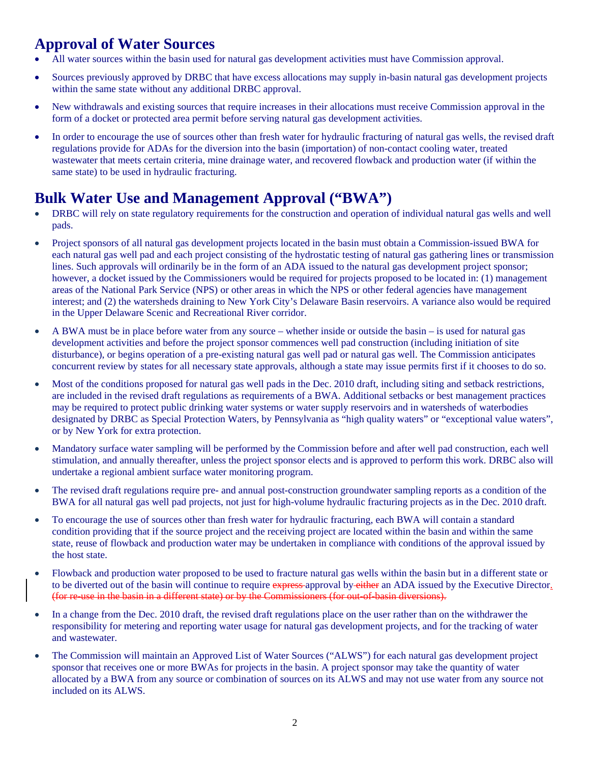# **Approval of Water Sources**

- All water sources within the basin used for natural gas development activities must have Commission approval.
- Sources previously approved by DRBC that have excess allocations may supply in-basin natural gas development projects within the same state without any additional DRBC approval.
- New withdrawals and existing sources that require increases in their allocations must receive Commission approval in the form of a docket or protected area permit before serving natural gas development activities.
- In order to encourage the use of sources other than fresh water for hydraulic fracturing of natural gas wells, the revised draft regulations provide for ADAs for the diversion into the basin (importation) of non-contact cooling water, treated wastewater that meets certain criteria, mine drainage water, and recovered flowback and production water (if within the same state) to be used in hydraulic fracturing.

# **Bulk Water Use and Management Approval ("BWA")**

- DRBC will rely on state regulatory requirements for the construction and operation of individual natural gas wells and well pads.
- Project sponsors of all natural gas development projects located in the basin must obtain a Commission-issued BWA for each natural gas well pad and each project consisting of the hydrostatic testing of natural gas gathering lines or transmission lines. Such approvals will ordinarily be in the form of an ADA issued to the natural gas development project sponsor; however, a docket issued by the Commissioners would be required for projects proposed to be located in: (1) management areas of the National Park Service (NPS) or other areas in which the NPS or other federal agencies have management interest; and (2) the watersheds draining to New York City's Delaware Basin reservoirs. A variance also would be required in the Upper Delaware Scenic and Recreational River corridor.
- A BWA must be in place before water from any source whether inside or outside the basin is used for natural gas development activities and before the project sponsor commences well pad construction (including initiation of site disturbance), or begins operation of a pre-existing natural gas well pad or natural gas well. The Commission anticipates concurrent review by states for all necessary state approvals, although a state may issue permits first if it chooses to do so.
- Most of the conditions proposed for natural gas well pads in the Dec. 2010 draft, including siting and setback restrictions, are included in the revised draft regulations as requirements of a BWA. Additional setbacks or best management practices may be required to protect public drinking water systems or water supply reservoirs and in watersheds of waterbodies designated by DRBC as Special Protection Waters, by Pennsylvania as "high quality waters" or "exceptional value waters", or by New York for extra protection.
- Mandatory surface water sampling will be performed by the Commission before and after well pad construction, each well stimulation, and annually thereafter, unless the project sponsor elects and is approved to perform this work. DRBC also will undertake a regional ambient surface water monitoring program.
- The revised draft regulations require pre- and annual post-construction groundwater sampling reports as a condition of the BWA for all natural gas well pad projects, not just for high-volume hydraulic fracturing projects as in the Dec. 2010 draft.
- To encourage the use of sources other than fresh water for hydraulic fracturing, each BWA will contain a standard condition providing that if the source project and the receiving project are located within the basin and within the same state, reuse of flowback and production water may be undertaken in compliance with conditions of the approval issued by the host state.
- Flowback and production water proposed to be used to fracture natural gas wells within the basin but in a different state or to be diverted out of the basin will continue to require express-approval by-either an ADA issued by the Executive Director. (for re-use in the basin in a different state) or by the Commissioners (for out-of-basin diversions).
- In a change from the Dec. 2010 draft, the revised draft regulations place on the user rather than on the withdrawer the responsibility for metering and reporting water usage for natural gas development projects, and for the tracking of water and wastewater.
- The Commission will maintain an Approved List of Water Sources ("ALWS") for each natural gas development project sponsor that receives one or more BWAs for projects in the basin. A project sponsor may take the quantity of water allocated by a BWA from any source or combination of sources on its ALWS and may not use water from any source not included on its ALWS.